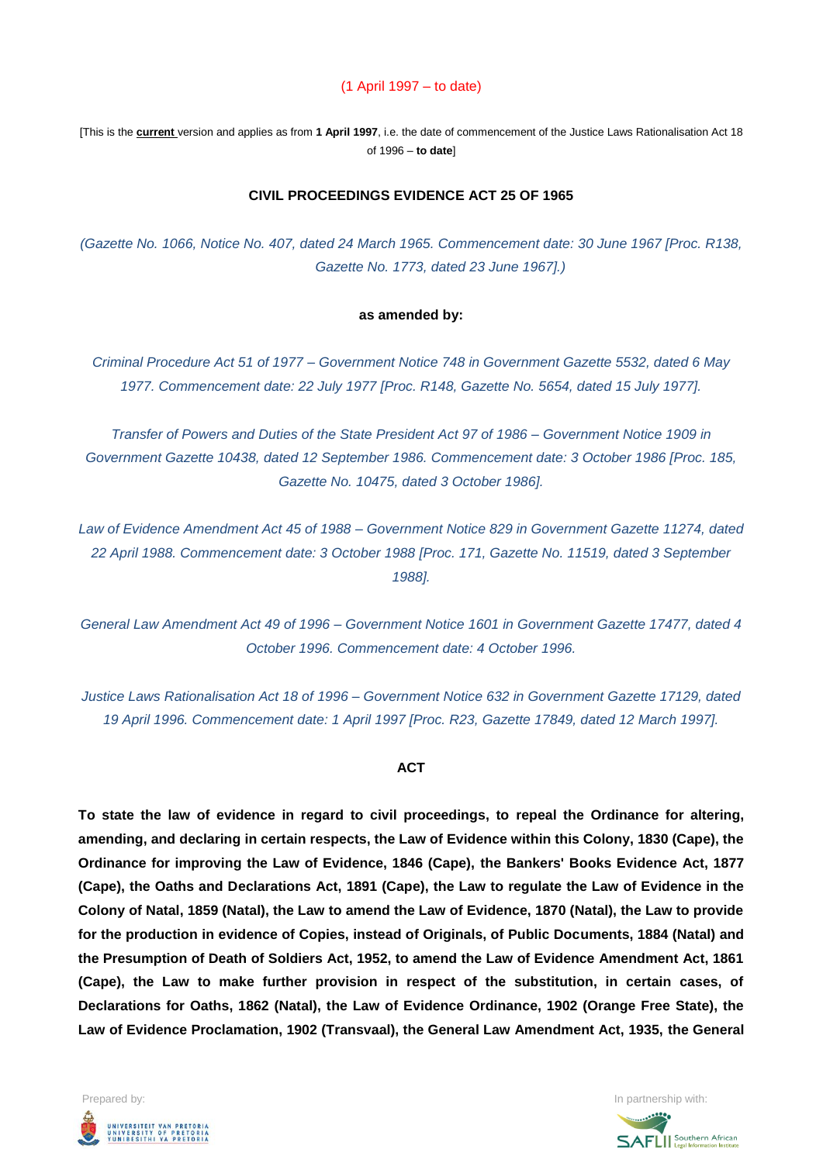#### (1 April 1997 – to date)

[This is the **current** version and applies as from **1 April 1997**, i.e. the date of commencement of the Justice Laws Rationalisation Act 18 of 1996 – **to date**]

#### **CIVIL PROCEEDINGS EVIDENCE ACT 25 OF 1965**

*(Gazette No. 1066, Notice No. 407, dated 24 March 1965. Commencement date: 30 June 1967 [Proc. R138, Gazette No. 1773, dated 23 June 1967].)*

#### **as amended by:**

*Criminal Procedure Act 51 of 1977 – Government Notice 748 in Government Gazette 5532, dated 6 May 1977. Commencement date: 22 July 1977 [Proc. R148, Gazette No. 5654, dated 15 July 1977].*

*Transfer of Powers and Duties of the State President Act 97 of 1986 – Government Notice 1909 in Government Gazette 10438, dated 12 September 1986. Commencement date: 3 October 1986 [Proc. 185, Gazette No. 10475, dated 3 October 1986].*

*Law of Evidence Amendment Act 45 of 1988 – Government Notice 829 in Government Gazette 11274, dated 22 April 1988. Commencement date: 3 October 1988 [Proc. 171, Gazette No. 11519, dated 3 September 1988].*

*General Law Amendment Act 49 of 1996 – Government Notice 1601 in Government Gazette 17477, dated 4 October 1996. Commencement date: 4 October 1996.*

*Justice Laws Rationalisation Act 18 of 1996 – Government Notice 632 in Government Gazette 17129, dated 19 April 1996. Commencement date: 1 April 1997 [Proc. R23, Gazette 17849, dated 12 March 1997].*

#### **ACT**

**To state the law of evidence in regard to civil proceedings, to repeal the Ordinance for altering, amending, and declaring in certain respects, the Law of Evidence within this Colony, 1830 (Cape), the Ordinance for improving the Law of Evidence, 1846 (Cape), the Bankers' Books Evidence Act, 1877 (Cape), the Oaths and Declarations Act, 1891 (Cape), the Law to regulate the Law of Evidence in the Colony of Natal, 1859 (Natal), the Law to amend the Law of Evidence, 1870 (Natal), the Law to provide for the production in evidence of Copies, instead of Originals, of Public Documents, 1884 (Natal) and the Presumption of Death of Soldiers Act, 1952, to amend the Law of Evidence Amendment Act, 1861 (Cape), the Law to make further provision in respect of the substitution, in certain cases, of Declarations for Oaths, 1862 (Natal), the Law of Evidence Ordinance, 1902 (Orange Free State), the Law of Evidence Proclamation, 1902 (Transvaal), the General Law Amendment Act, 1935, the General** 



**SAFLI** Southern African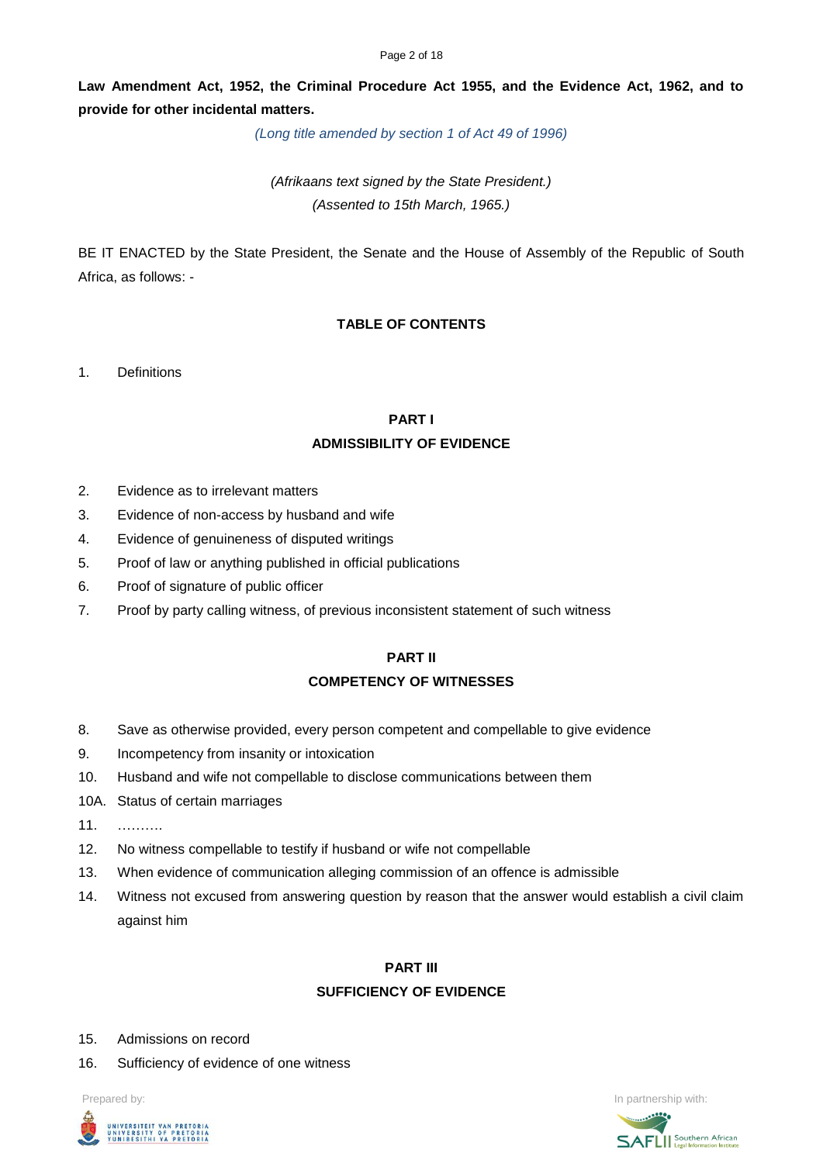#### Page 2 of 18

**Law Amendment Act, 1952, the Criminal Procedure Act 1955, and the Evidence Act, 1962, and to provide for other incidental matters.**

*(Long title amended by section 1 of Act 49 of 1996)*

*(Afrikaans text signed by the State President.) (Assented to 15th March, 1965.)*

BE IT ENACTED by the State President, the Senate and the House of Assembly of the Republic of South Africa, as follows: -

# **TABLE OF CONTENTS**

1. Definitions

#### **PART I**

### **ADMISSIBILITY OF EVIDENCE**

- 2. Evidence as to irrelevant matters
- 3. Evidence of non-access by husband and wife
- 4. Evidence of genuineness of disputed writings
- 5. Proof of law or anything published in official publications
- 6. Proof of signature of public officer
- 7. Proof by party calling witness, of previous inconsistent statement of such witness

# **PART II COMPETENCY OF WITNESSES**

- 8. Save as otherwise provided, every person competent and compellable to give evidence
- 9. Incompetency from insanity or intoxication
- 10. Husband and wife not compellable to disclose communications between them
- 10A. Status of certain marriages
- 11. ……….
- 12. No witness compellable to testify if husband or wife not compellable
- 13. When evidence of communication alleging commission of an offence is admissible
- 14. Witness not excused from answering question by reason that the answer would establish a civil claim against him

#### **PART III**

### **SUFFICIENCY OF EVIDENCE**

- 15. Admissions on record
- 16. Sufficiency of evidence of one witness



Prepared by: **In partnership with:**  $\blacksquare$  **In partnership with:**  $\blacksquare$  **In partnership with:**  $\blacksquare$ **SAFLI** Southern African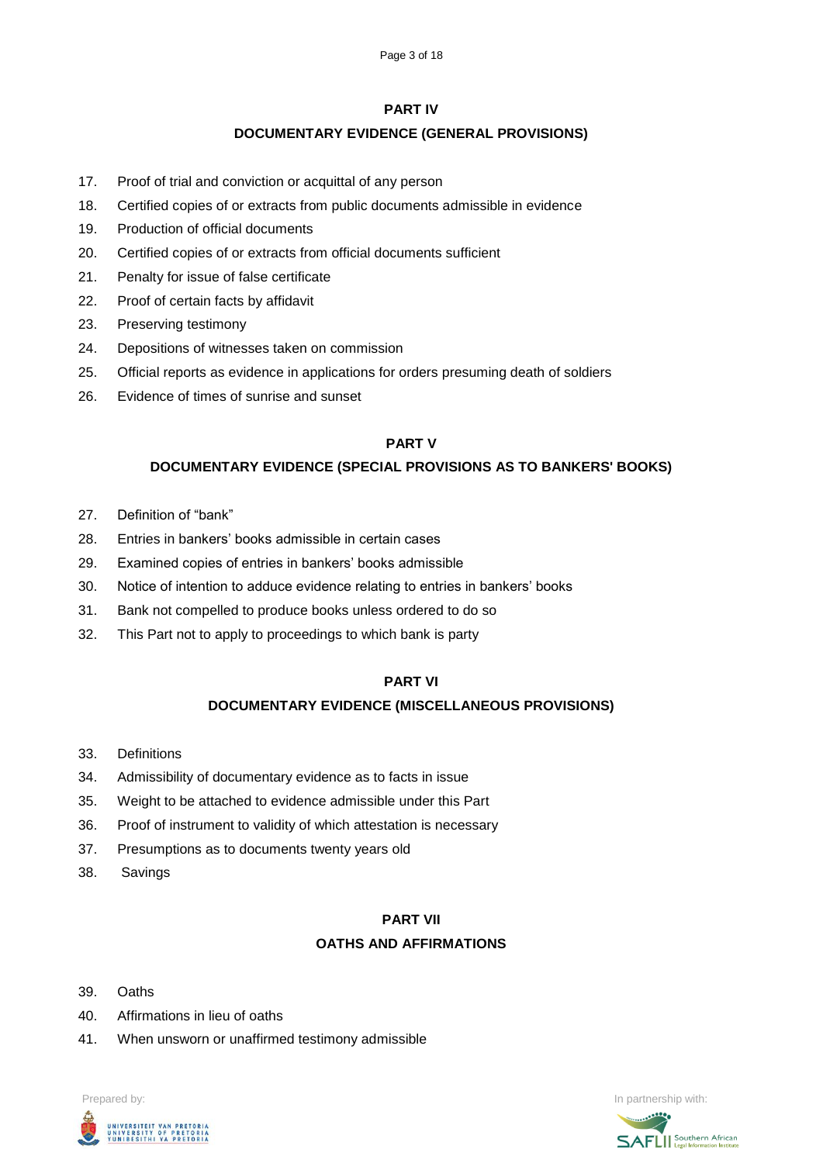## **PART IV**

# **DOCUMENTARY EVIDENCE (GENERAL PROVISIONS)**

- 17. Proof of trial and conviction or acquittal of any person
- 18. Certified copies of or extracts from public documents admissible in evidence
- 19. Production of official documents
- 20. Certified copies of or extracts from official documents sufficient
- 21. Penalty for issue of false certificate
- 22. Proof of certain facts by affidavit
- 23. Preserving testimony
- 24. Depositions of witnesses taken on commission
- 25. Official reports as evidence in applications for orders presuming death of soldiers
- 26. Evidence of times of sunrise and sunset

# **PART V**

# **DOCUMENTARY EVIDENCE (SPECIAL PROVISIONS AS TO BANKERS' BOOKS)**

- 27. Definition of "bank"
- 28. Entries in bankers' books admissible in certain cases
- 29. Examined copies of entries in bankers' books admissible
- 30. Notice of intention to adduce evidence relating to entries in bankers' books
- 31. Bank not compelled to produce books unless ordered to do so
- 32. This Part not to apply to proceedings to which bank is party

### **PART VI**

# **DOCUMENTARY EVIDENCE (MISCELLANEOUS PROVISIONS)**

- 33. Definitions
- 34. Admissibility of documentary evidence as to facts in issue
- 35. Weight to be attached to evidence admissible under this Part
- 36. Proof of instrument to validity of which attestation is necessary
- 37. Presumptions as to documents twenty years old
- 38. Savings

### **PART VII**

# **OATHS AND AFFIRMATIONS**

- 39. Oaths
- 40. Affirmations in lieu of oaths
- 41. When unsworn or unaffirmed testimony admissible





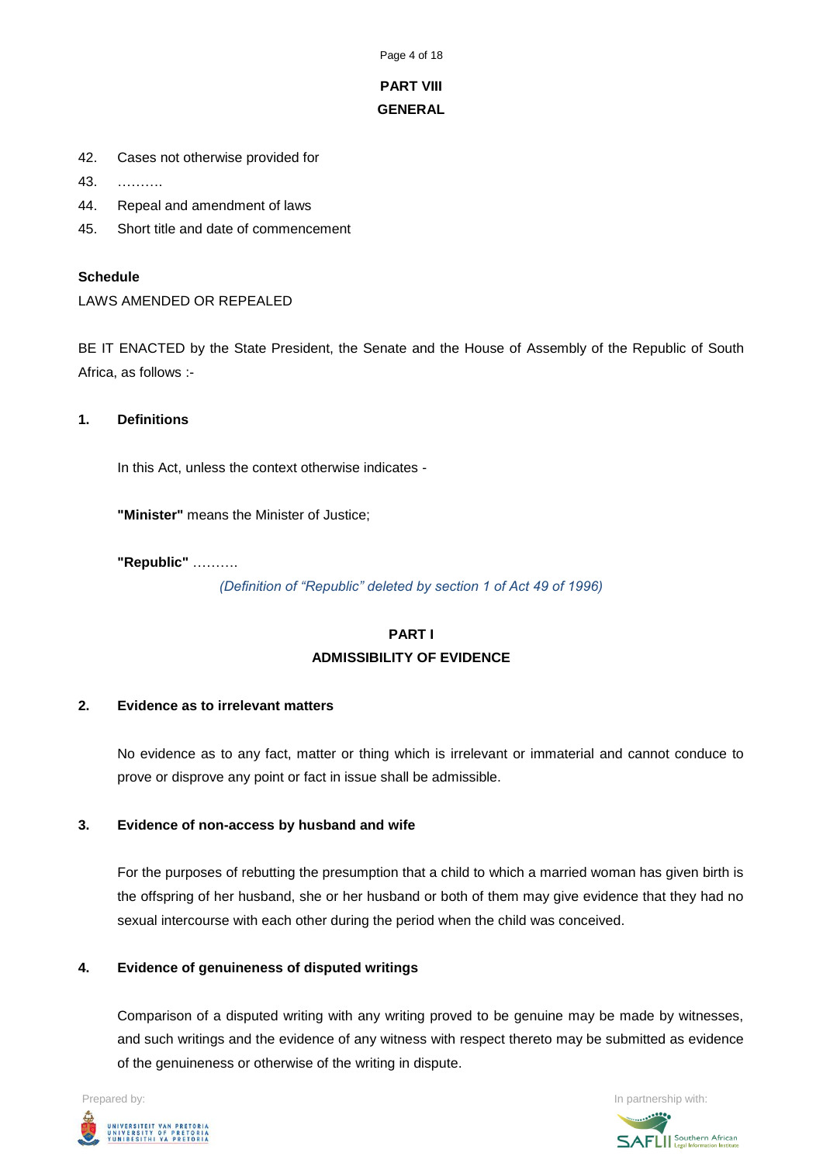Page 4 of 18

# **PART VIII GENERAL**

- 42. Cases not otherwise provided for
- 43. ……….
- 44. Repeal and amendment of laws
- 45. Short title and date of commencement

### **Schedule**

LAWS AMENDED OR REPEALED

BE IT ENACTED by the State President, the Senate and the House of Assembly of the Republic of South Africa, as follows :-

**1. Definitions**

In this Act, unless the context otherwise indicates -

**"Minister"** means the Minister of Justice;

**"Republic"** ……….

*(Definition of "Republic" deleted by section 1 of Act 49 of 1996)*

# **PART I ADMISSIBILITY OF EVIDENCE**

### **2. Evidence as to irrelevant matters**

No evidence as to any fact, matter or thing which is irrelevant or immaterial and cannot conduce to prove or disprove any point or fact in issue shall be admissible.

### **3. Evidence of non-access by husband and wife**

For the purposes of rebutting the presumption that a child to which a married woman has given birth is the offspring of her husband, she or her husband or both of them may give evidence that they had no sexual intercourse with each other during the period when the child was conceived.

# **4. Evidence of genuineness of disputed writings**

Comparison of a disputed writing with any writing proved to be genuine may be made by witnesses, and such writings and the evidence of any witness with respect thereto may be submitted as evidence of the genuineness or otherwise of the writing in dispute.



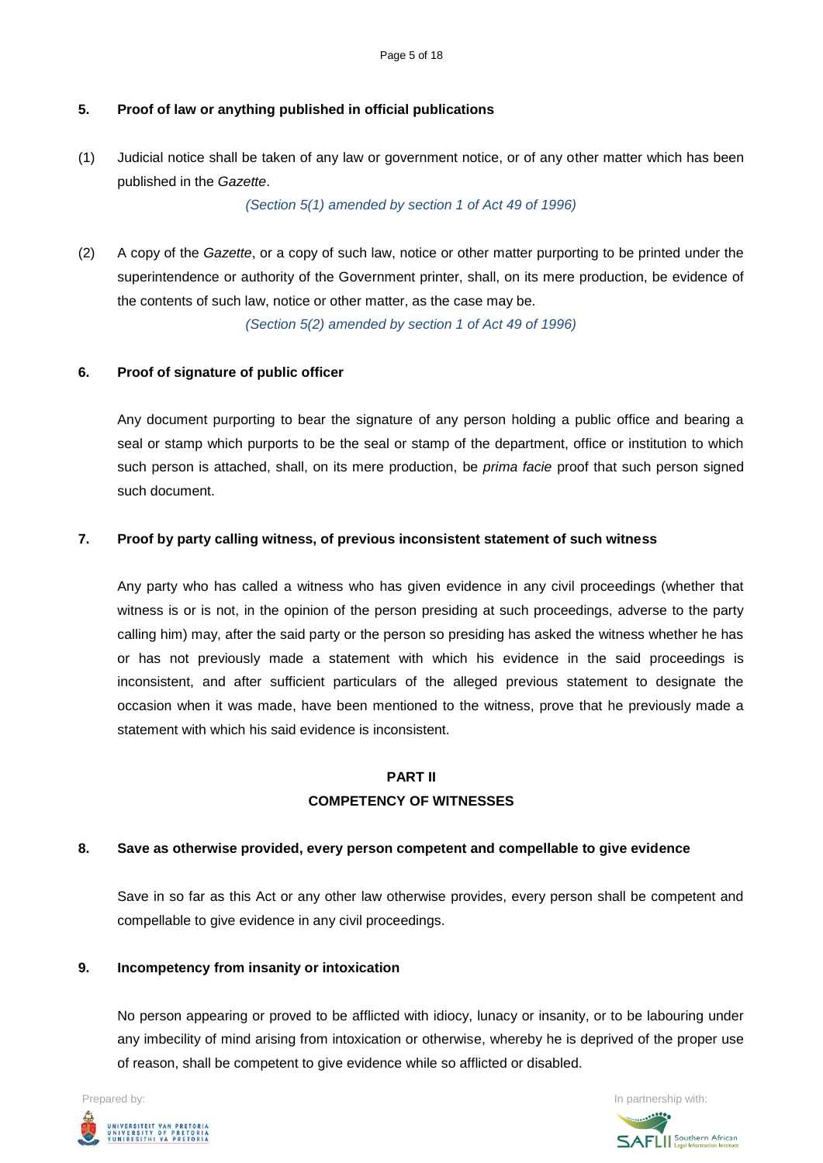# **5. Proof of law or anything published in official publications**

(1) Judicial notice shall be taken of any law or government notice, or of any other matter which has been published in the *Gazette*.

*(Section 5(1) amended by section 1 of Act 49 of 1996)*

(2) A copy of the *Gazette*, or a copy of such law, notice or other matter purporting to be printed under the superintendence or authority of the Government printer, shall, on its mere production, be evidence of the contents of such law, notice or other matter, as the case may be.

*(Section 5(2) amended by section 1 of Act 49 of 1996)*

## **6. Proof of signature of public officer**

Any document purporting to bear the signature of any person holding a public office and bearing a seal or stamp which purports to be the seal or stamp of the department, office or institution to which such person is attached, shall, on its mere production, be *prima facie* proof that such person signed such document.

### **7. Proof by party calling witness, of previous inconsistent statement of such witness**

Any party who has called a witness who has given evidence in any civil proceedings (whether that witness is or is not, in the opinion of the person presiding at such proceedings, adverse to the party calling him) may, after the said party or the person so presiding has asked the witness whether he has or has not previously made a statement with which his evidence in the said proceedings is inconsistent, and after sufficient particulars of the alleged previous statement to designate the occasion when it was made, have been mentioned to the witness, prove that he previously made a statement with which his said evidence is inconsistent.

# **PART II COMPETENCY OF WITNESSES**

### **8. Save as otherwise provided, every person competent and compellable to give evidence**

Save in so far as this Act or any other law otherwise provides, every person shall be competent and compellable to give evidence in any civil proceedings.

### **9. Incompetency from insanity or intoxication**

No person appearing or proved to be afflicted with idiocy, lunacy or insanity, or to be labouring under any imbecility of mind arising from intoxication or otherwise, whereby he is deprived of the proper use of reason, shall be competent to give evidence while so afflicted or disabled.



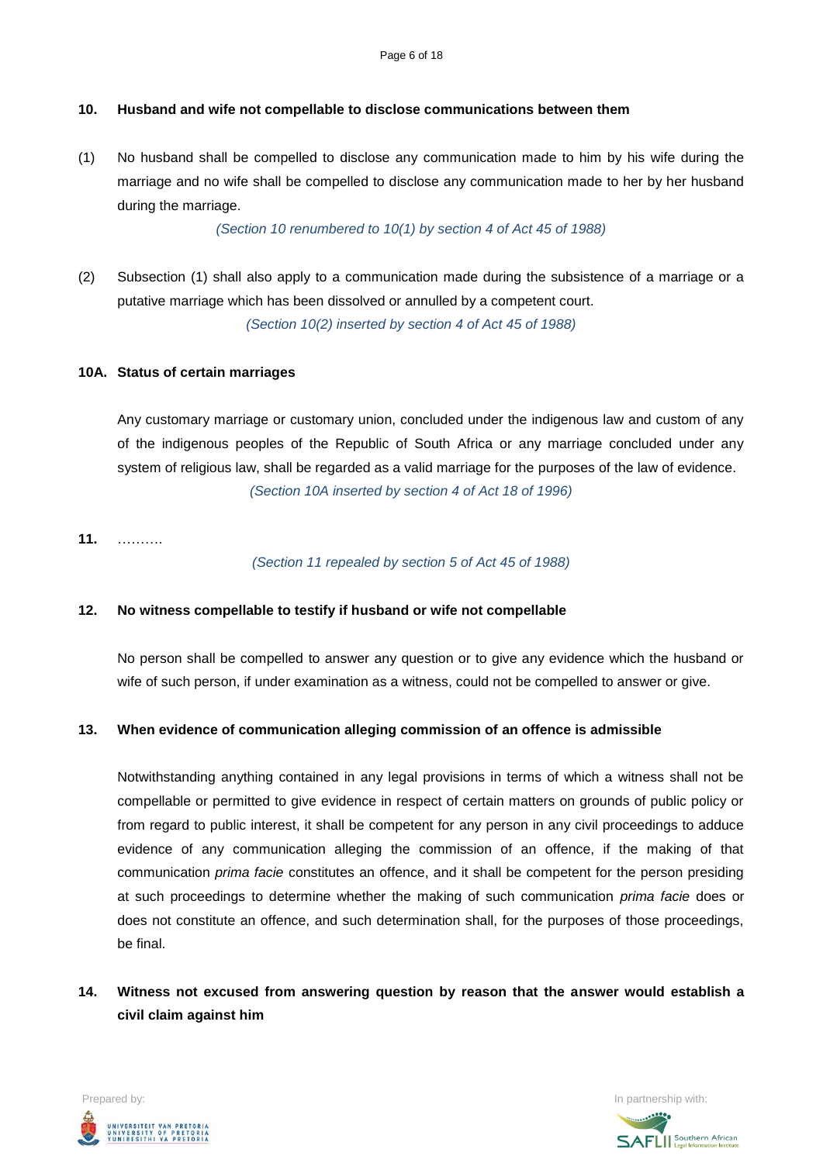### **10. Husband and wife not compellable to disclose communications between them**

(1) No husband shall be compelled to disclose any communication made to him by his wife during the marriage and no wife shall be compelled to disclose any communication made to her by her husband during the marriage.

*(Section 10 renumbered to 10(1) by section 4 of Act 45 of 1988)*

(2) Subsection (1) shall also apply to a communication made during the subsistence of a marriage or a putative marriage which has been dissolved or annulled by a competent court.

*(Section 10(2) inserted by section 4 of Act 45 of 1988)*

### **10A. Status of certain marriages**

Any customary marriage or customary union, concluded under the indigenous law and custom of any of the indigenous peoples of the Republic of South Africa or any marriage concluded under any system of religious law, shall be regarded as a valid marriage for the purposes of the law of evidence. *(Section 10A inserted by section 4 of Act 18 of 1996)*

**11.** ……….

*(Section 11 repealed by section 5 of Act 45 of 1988)*

### **12. No witness compellable to testify if husband or wife not compellable**

No person shall be compelled to answer any question or to give any evidence which the husband or wife of such person, if under examination as a witness, could not be compelled to answer or give.

### **13. When evidence of communication alleging commission of an offence is admissible**

Notwithstanding anything contained in any legal provisions in terms of which a witness shall not be compellable or permitted to give evidence in respect of certain matters on grounds of public policy or from regard to public interest, it shall be competent for any person in any civil proceedings to adduce evidence of any communication alleging the commission of an offence, if the making of that communication *prima facie* constitutes an offence, and it shall be competent for the person presiding at such proceedings to determine whether the making of such communication *prima facie* does or does not constitute an offence, and such determination shall, for the purposes of those proceedings, be final.

**14. Witness not excused from answering question by reason that the answer would establish a civil claim against him**



**SAFLI** Southern African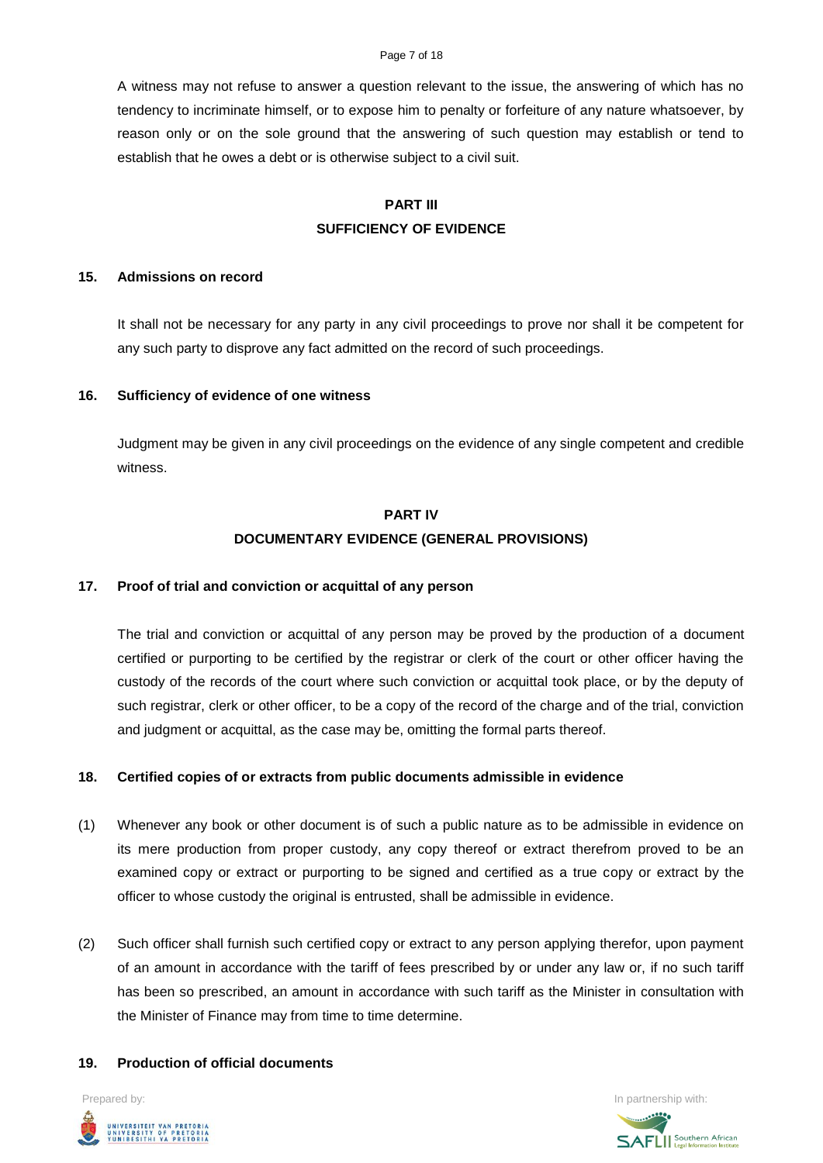#### Page 7 of 18

A witness may not refuse to answer a question relevant to the issue, the answering of which has no tendency to incriminate himself, or to expose him to penalty or forfeiture of any nature whatsoever, by reason only or on the sole ground that the answering of such question may establish or tend to establish that he owes a debt or is otherwise subject to a civil suit.

# **PART III SUFFICIENCY OF EVIDENCE**

#### **15. Admissions on record**

It shall not be necessary for any party in any civil proceedings to prove nor shall it be competent for any such party to disprove any fact admitted on the record of such proceedings.

### **16. Sufficiency of evidence of one witness**

Judgment may be given in any civil proceedings on the evidence of any single competent and credible witness.

# **PART IV DOCUMENTARY EVIDENCE (GENERAL PROVISIONS)**

### **17. Proof of trial and conviction or acquittal of any person**

The trial and conviction or acquittal of any person may be proved by the production of a document certified or purporting to be certified by the registrar or clerk of the court or other officer having the custody of the records of the court where such conviction or acquittal took place, or by the deputy of such registrar, clerk or other officer, to be a copy of the record of the charge and of the trial, conviction and judgment or acquittal, as the case may be, omitting the formal parts thereof.

### **18. Certified copies of or extracts from public documents admissible in evidence**

- (1) Whenever any book or other document is of such a public nature as to be admissible in evidence on its mere production from proper custody, any copy thereof or extract therefrom proved to be an examined copy or extract or purporting to be signed and certified as a true copy or extract by the officer to whose custody the original is entrusted, shall be admissible in evidence.
- (2) Such officer shall furnish such certified copy or extract to any person applying therefor, upon payment of an amount in accordance with the tariff of fees prescribed by or under any law or, if no such tariff has been so prescribed, an amount in accordance with such tariff as the Minister in consultation with the Minister of Finance may from time to time determine.

#### **19. Production of official documents**

Prepared by: **In partnership with:**  $\blacksquare$  **In partnership with:**  $\blacksquare$  **In partnership with:**  $\blacksquare$ UNIVERSITEIT VAN PRETORIA<br>UNIVERSITY OF PRETORIA<br>YUNIBESITHI YA PRETORIA

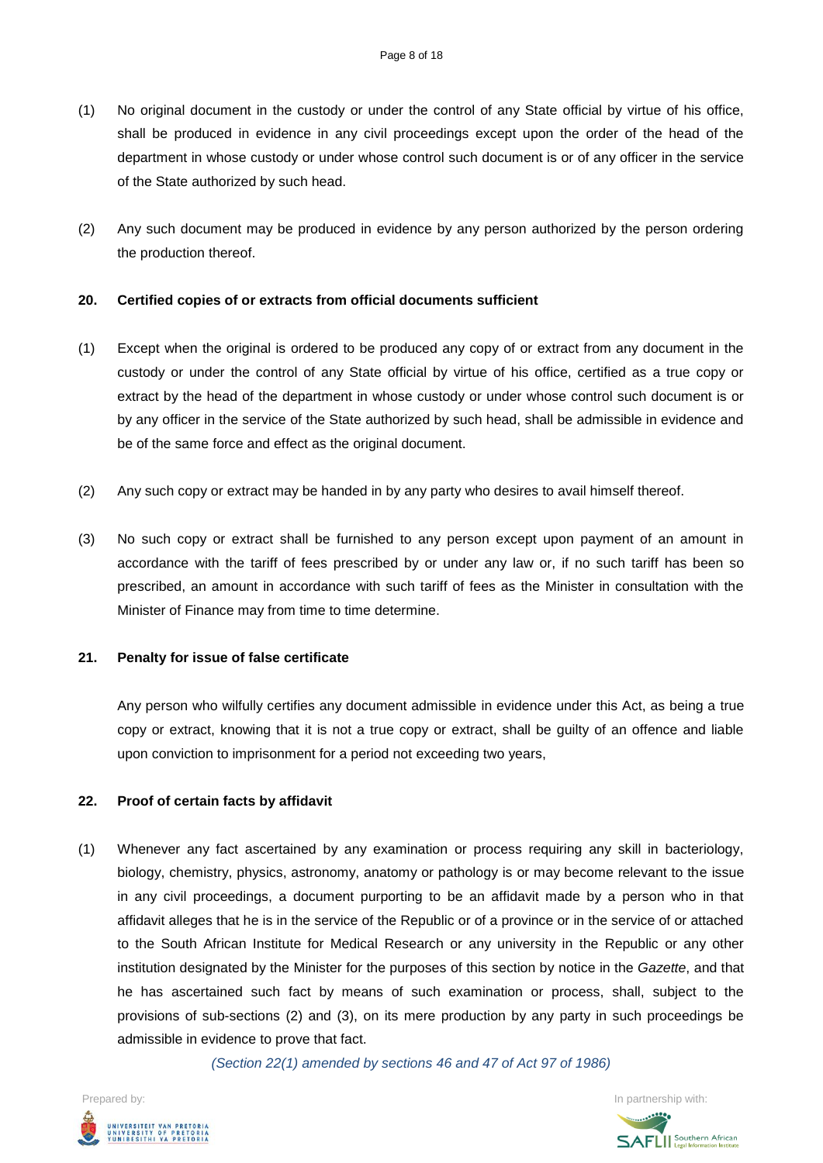- (1) No original document in the custody or under the control of any State official by virtue of his office, shall be produced in evidence in any civil proceedings except upon the order of the head of the department in whose custody or under whose control such document is or of any officer in the service of the State authorized by such head.
- (2) Any such document may be produced in evidence by any person authorized by the person ordering the production thereof.

### **20. Certified copies of or extracts from official documents sufficient**

- (1) Except when the original is ordered to be produced any copy of or extract from any document in the custody or under the control of any State official by virtue of his office, certified as a true copy or extract by the head of the department in whose custody or under whose control such document is or by any officer in the service of the State authorized by such head, shall be admissible in evidence and be of the same force and effect as the original document.
- (2) Any such copy or extract may be handed in by any party who desires to avail himself thereof.
- (3) No such copy or extract shall be furnished to any person except upon payment of an amount in accordance with the tariff of fees prescribed by or under any law or, if no such tariff has been so prescribed, an amount in accordance with such tariff of fees as the Minister in consultation with the Minister of Finance may from time to time determine.

#### **21. Penalty for issue of false certificate**

Any person who wilfully certifies any document admissible in evidence under this Act, as being a true copy or extract, knowing that it is not a true copy or extract, shall be guilty of an offence and liable upon conviction to imprisonment for a period not exceeding two years,

#### **22. Proof of certain facts by affidavit**

(1) Whenever any fact ascertained by any examination or process requiring any skill in bacteriology, biology, chemistry, physics, astronomy, anatomy or pathology is or may become relevant to the issue in any civil proceedings, a document purporting to be an affidavit made by a person who in that affidavit alleges that he is in the service of the Republic or of a province or in the service of or attached to the South African Institute for Medical Research or any university in the Republic or any other institution designated by the Minister for the purposes of this section by notice in the *Gazette*, and that he has ascertained such fact by means of such examination or process, shall, subject to the provisions of sub-sections (2) and (3), on its mere production by any party in such proceedings be admissible in evidence to prove that fact.

*(Section 22(1) amended by sections 46 and 47 of Act 97 of 1986)*



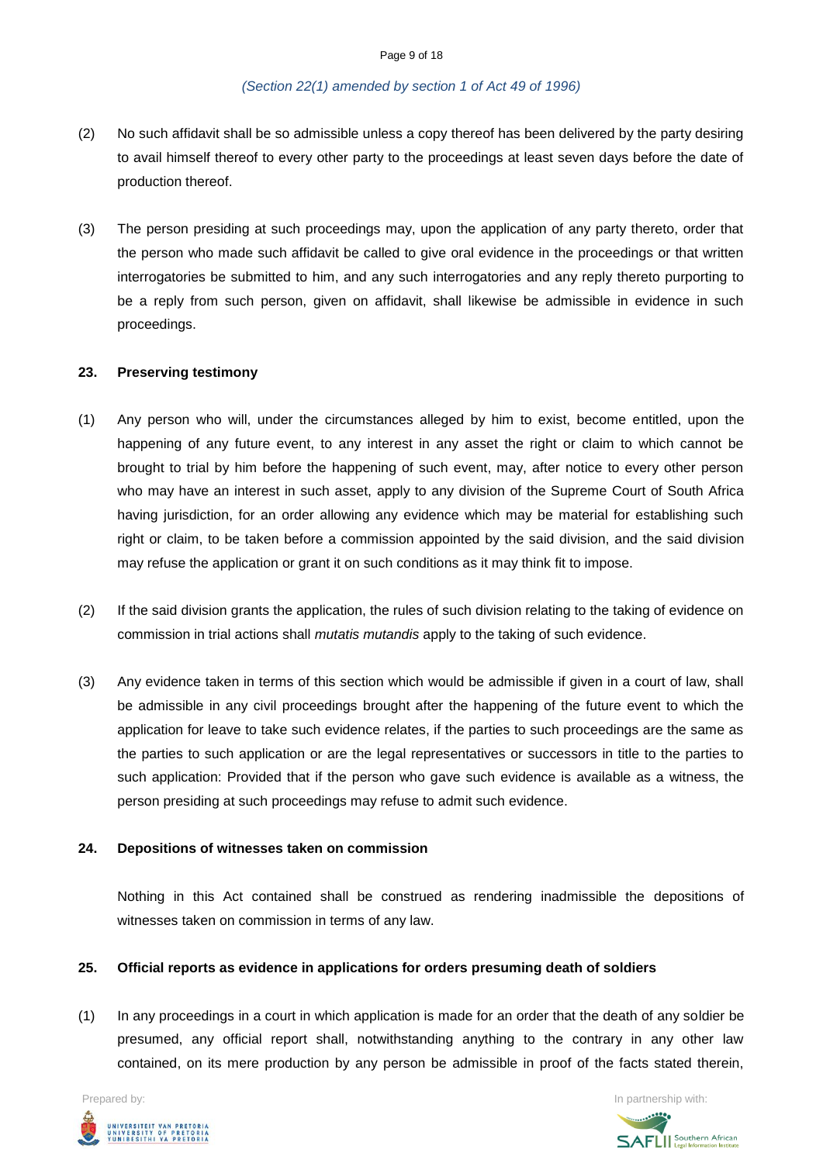#### *(Section 22(1) amended by section 1 of Act 49 of 1996)*

- (2) No such affidavit shall be so admissible unless a copy thereof has been delivered by the party desiring to avail himself thereof to every other party to the proceedings at least seven days before the date of production thereof.
- (3) The person presiding at such proceedings may, upon the application of any party thereto, order that the person who made such affidavit be called to give oral evidence in the proceedings or that written interrogatories be submitted to him, and any such interrogatories and any reply thereto purporting to be a reply from such person, given on affidavit, shall likewise be admissible in evidence in such proceedings.

### **23. Preserving testimony**

- (1) Any person who will, under the circumstances alleged by him to exist, become entitled, upon the happening of any future event, to any interest in any asset the right or claim to which cannot be brought to trial by him before the happening of such event, may, after notice to every other person who may have an interest in such asset, apply to any division of the Supreme Court of South Africa having jurisdiction, for an order allowing any evidence which may be material for establishing such right or claim, to be taken before a commission appointed by the said division, and the said division may refuse the application or grant it on such conditions as it may think fit to impose.
- (2) If the said division grants the application, the rules of such division relating to the taking of evidence on commission in trial actions shall *mutatis mutandis* apply to the taking of such evidence.
- (3) Any evidence taken in terms of this section which would be admissible if given in a court of law, shall be admissible in any civil proceedings brought after the happening of the future event to which the application for leave to take such evidence relates, if the parties to such proceedings are the same as the parties to such application or are the legal representatives or successors in title to the parties to such application: Provided that if the person who gave such evidence is available as a witness, the person presiding at such proceedings may refuse to admit such evidence.

### **24. Depositions of witnesses taken on commission**

Nothing in this Act contained shall be construed as rendering inadmissible the depositions of witnesses taken on commission in terms of any law.

### **25. Official reports as evidence in applications for orders presuming death of soldiers**

(1) In any proceedings in a court in which application is made for an order that the death of any soldier be presumed, any official report shall, notwithstanding anything to the contrary in any other law contained, on its mere production by any person be admissible in proof of the facts stated therein,



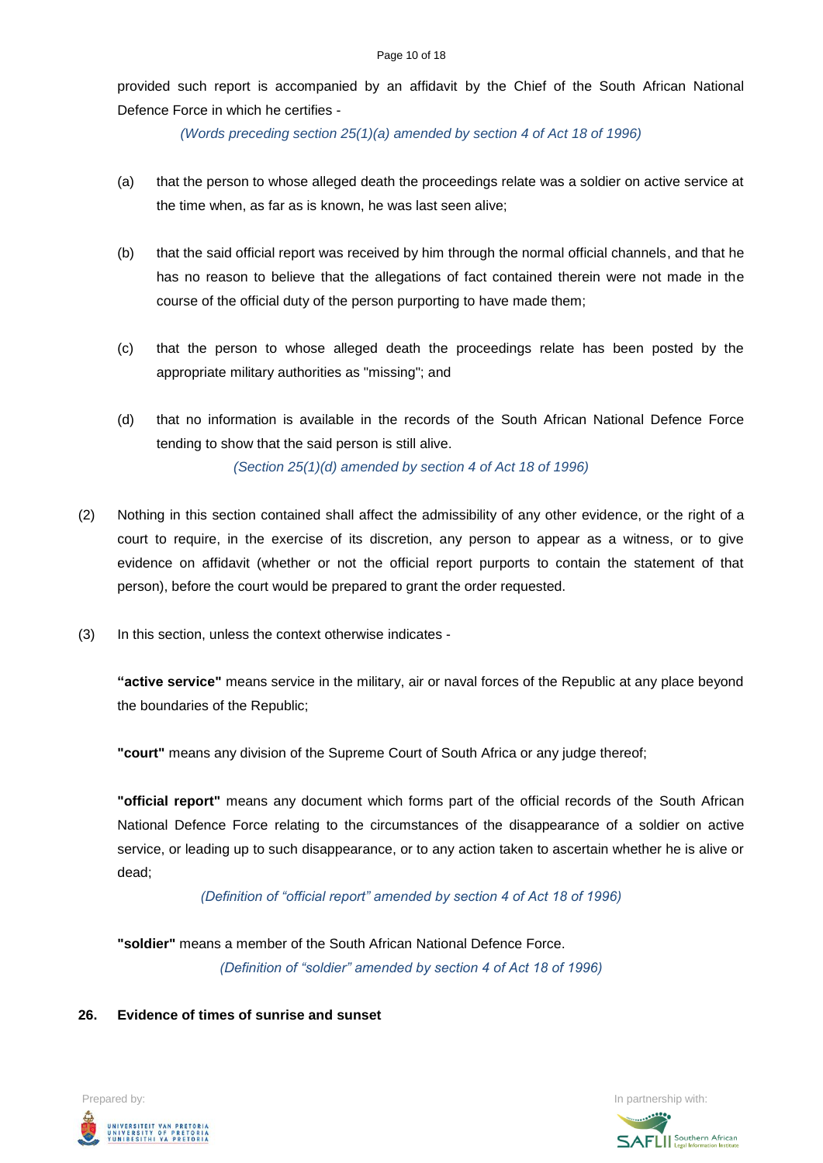provided such report is accompanied by an affidavit by the Chief of the South African National Defence Force in which he certifies -

*(Words preceding section 25(1)(a) amended by section 4 of Act 18 of 1996)*

- (a) that the person to whose alleged death the proceedings relate was a soldier on active service at the time when, as far as is known, he was last seen alive;
- (b) that the said official report was received by him through the normal official channels, and that he has no reason to believe that the allegations of fact contained therein were not made in the course of the official duty of the person purporting to have made them;
- (c) that the person to whose alleged death the proceedings relate has been posted by the appropriate military authorities as "missing"; and
- (d) that no information is available in the records of the South African National Defence Force tending to show that the said person is still alive. *(Section 25(1)(d) amended by section 4 of Act 18 of 1996)*
- (2) Nothing in this section contained shall affect the admissibility of any other evidence, or the right of a court to require, in the exercise of its discretion, any person to appear as a witness, or to give evidence on affidavit (whether or not the official report purports to contain the statement of that person), before the court would be prepared to grant the order requested.
- (3) In this section, unless the context otherwise indicates -

**"active service"** means service in the military, air or naval forces of the Republic at any place beyond the boundaries of the Republic;

**"court"** means any division of the Supreme Court of South Africa or any judge thereof;

**"official report"** means any document which forms part of the official records of the South African National Defence Force relating to the circumstances of the disappearance of a soldier on active service, or leading up to such disappearance, or to any action taken to ascertain whether he is alive or dead;

*(Definition of "official report" amended by section 4 of Act 18 of 1996)*

**"soldier"** means a member of the South African National Defence Force. *(Definition of "soldier" amended by section 4 of Act 18 of 1996)*

### **26. Evidence of times of sunrise and sunset**

Prepared by: In partnership with:  $\blacksquare$  is the partnership with:  $\blacksquare$  is the partnership with:  $\blacksquare$ UNIVERSITEIT VAN PRETORIA<br>UNIVERSITY OF PRETORIA<br>YUNIBESITHI YA PRETORIA

**SAFLI** Southern African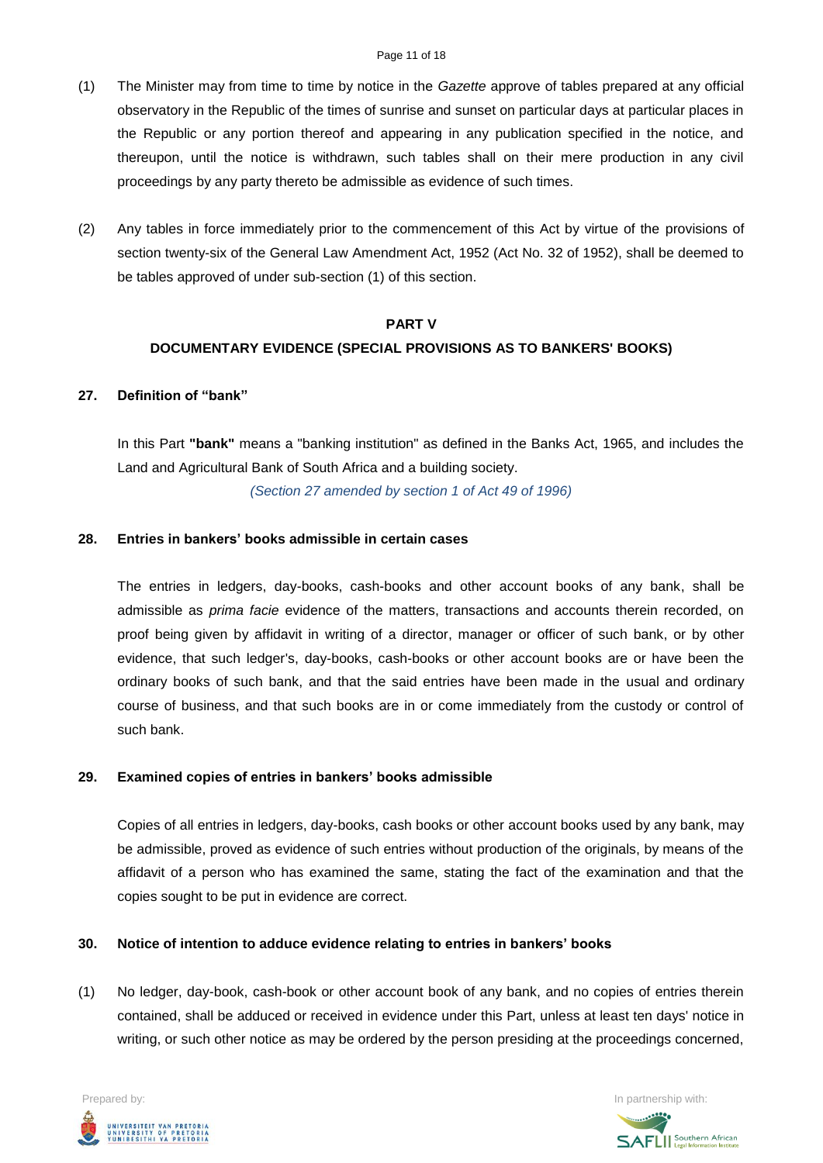- (1) The Minister may from time to time by notice in the *Gazette* approve of tables prepared at any official observatory in the Republic of the times of sunrise and sunset on particular days at particular places in the Republic or any portion thereof and appearing in any publication specified in the notice, and thereupon, until the notice is withdrawn, such tables shall on their mere production in any civil proceedings by any party thereto be admissible as evidence of such times.
- (2) Any tables in force immediately prior to the commencement of this Act by virtue of the provisions of section twenty-six of the General Law Amendment Act, 1952 (Act No. 32 of 1952), shall be deemed to be tables approved of under sub-section (1) of this section.

#### **PART V**

## **DOCUMENTARY EVIDENCE (SPECIAL PROVISIONS AS TO BANKERS' BOOKS)**

### **27. Definition of "bank"**

In this Part **"bank"** means a "banking institution" as defined in the Banks Act, 1965, and includes the Land and Agricultural Bank of South Africa and a building society.

*(Section 27 amended by section 1 of Act 49 of 1996)*

### **28. Entries in bankers' books admissible in certain cases**

The entries in ledgers, day-books, cash-books and other account books of any bank, shall be admissible as *prima facie* evidence of the matters, transactions and accounts therein recorded, on proof being given by affidavit in writing of a director, manager or officer of such bank, or by other evidence, that such ledger's, day-books, cash-books or other account books are or have been the ordinary books of such bank, and that the said entries have been made in the usual and ordinary course of business, and that such books are in or come immediately from the custody or control of such bank.

### **29. Examined copies of entries in bankers' books admissible**

Copies of all entries in ledgers, day-books, cash books or other account books used by any bank, may be admissible, proved as evidence of such entries without production of the originals, by means of the affidavit of a person who has examined the same, stating the fact of the examination and that the copies sought to be put in evidence are correct.

# **30. Notice of intention to adduce evidence relating to entries in bankers' books**

(1) No ledger, day-book, cash-book or other account book of any bank, and no copies of entries therein contained, shall be adduced or received in evidence under this Part, unless at least ten days' notice in writing, or such other notice as may be ordered by the person presiding at the proceedings concerned,



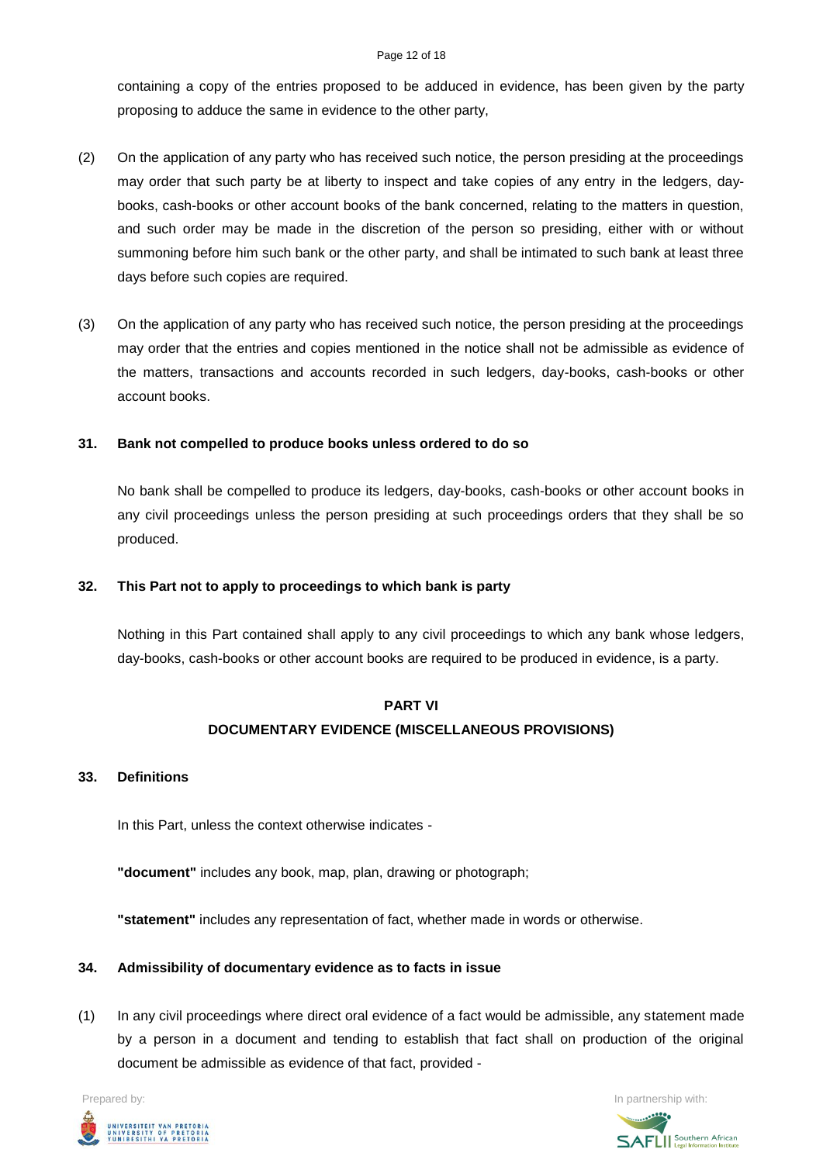containing a copy of the entries proposed to be adduced in evidence, has been given by the party proposing to adduce the same in evidence to the other party,

- (2) On the application of any party who has received such notice, the person presiding at the proceedings may order that such party be at liberty to inspect and take copies of any entry in the ledgers, daybooks, cash-books or other account books of the bank concerned, relating to the matters in question, and such order may be made in the discretion of the person so presiding, either with or without summoning before him such bank or the other party, and shall be intimated to such bank at least three days before such copies are required.
- (3) On the application of any party who has received such notice, the person presiding at the proceedings may order that the entries and copies mentioned in the notice shall not be admissible as evidence of the matters, transactions and accounts recorded in such ledgers, day-books, cash-books or other account books.

## **31. Bank not compelled to produce books unless ordered to do so**

No bank shall be compelled to produce its ledgers, day-books, cash-books or other account books in any civil proceedings unless the person presiding at such proceedings orders that they shall be so produced.

## **32. This Part not to apply to proceedings to which bank is party**

Nothing in this Part contained shall apply to any civil proceedings to which any bank whose ledgers, day-books, cash-books or other account books are required to be produced in evidence, is a party.

# **PART VI DOCUMENTARY EVIDENCE (MISCELLANEOUS PROVISIONS)**

### **33. Definitions**

In this Part, unless the context otherwise indicates -

**"document"** includes any book, map, plan, drawing or photograph;

**"statement"** includes any representation of fact, whether made in words or otherwise.

### **34. Admissibility of documentary evidence as to facts in issue**

(1) In any civil proceedings where direct oral evidence of a fact would be admissible, any statement made by a person in a document and tending to establish that fact shall on production of the original document be admissible as evidence of that fact, provided -



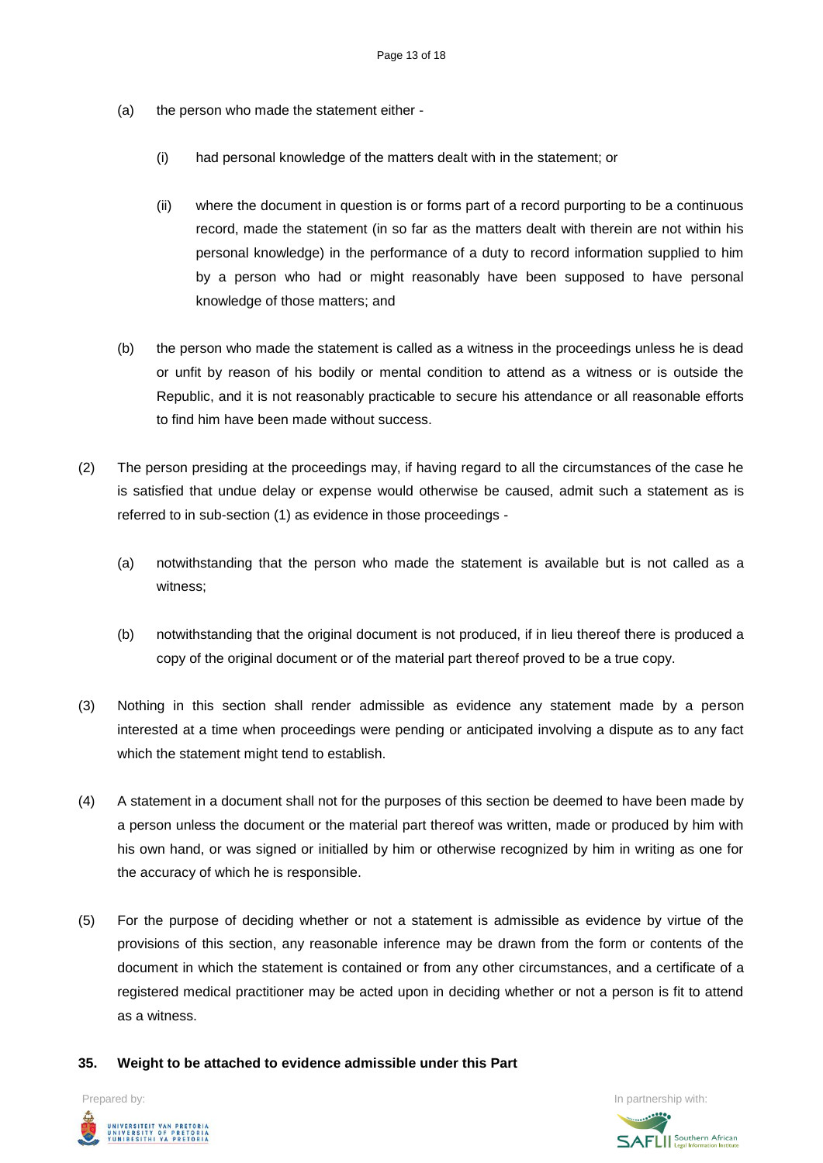- (a) the person who made the statement either
	- (i) had personal knowledge of the matters dealt with in the statement; or
	- (ii) where the document in question is or forms part of a record purporting to be a continuous record, made the statement (in so far as the matters dealt with therein are not within his personal knowledge) in the performance of a duty to record information supplied to him by a person who had or might reasonably have been supposed to have personal knowledge of those matters; and
- (b) the person who made the statement is called as a witness in the proceedings unless he is dead or unfit by reason of his bodily or mental condition to attend as a witness or is outside the Republic, and it is not reasonably practicable to secure his attendance or all reasonable efforts to find him have been made without success.
- (2) The person presiding at the proceedings may, if having regard to all the circumstances of the case he is satisfied that undue delay or expense would otherwise be caused, admit such a statement as is referred to in sub-section (1) as evidence in those proceedings -
	- (a) notwithstanding that the person who made the statement is available but is not called as a witness;
	- (b) notwithstanding that the original document is not produced, if in lieu thereof there is produced a copy of the original document or of the material part thereof proved to be a true copy.
- (3) Nothing in this section shall render admissible as evidence any statement made by a person interested at a time when proceedings were pending or anticipated involving a dispute as to any fact which the statement might tend to establish.
- (4) A statement in a document shall not for the purposes of this section be deemed to have been made by a person unless the document or the material part thereof was written, made or produced by him with his own hand, or was signed or initialled by him or otherwise recognized by him in writing as one for the accuracy of which he is responsible.
- (5) For the purpose of deciding whether or not a statement is admissible as evidence by virtue of the provisions of this section, any reasonable inference may be drawn from the form or contents of the document in which the statement is contained or from any other circumstances, and a certificate of a registered medical practitioner may be acted upon in deciding whether or not a person is fit to attend as a witness.
- **35. Weight to be attached to evidence admissible under this Part**



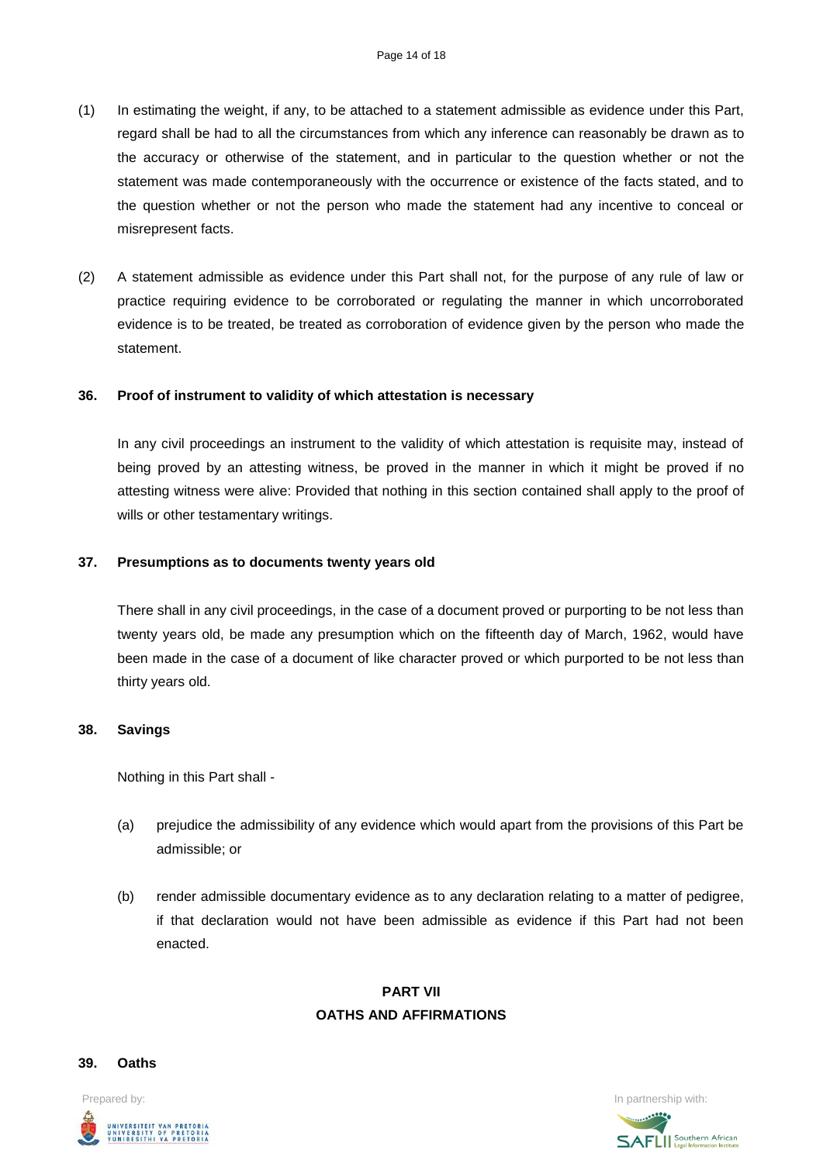- (1) In estimating the weight, if any, to be attached to a statement admissible as evidence under this Part, regard shall be had to all the circumstances from which any inference can reasonably be drawn as to the accuracy or otherwise of the statement, and in particular to the question whether or not the statement was made contemporaneously with the occurrence or existence of the facts stated, and to the question whether or not the person who made the statement had any incentive to conceal or misrepresent facts.
- (2) A statement admissible as evidence under this Part shall not, for the purpose of any rule of law or practice requiring evidence to be corroborated or regulating the manner in which uncorroborated evidence is to be treated, be treated as corroboration of evidence given by the person who made the statement.

### **36. Proof of instrument to validity of which attestation is necessary**

In any civil proceedings an instrument to the validity of which attestation is requisite may, instead of being proved by an attesting witness, be proved in the manner in which it might be proved if no attesting witness were alive: Provided that nothing in this section contained shall apply to the proof of wills or other testamentary writings.

#### **37. Presumptions as to documents twenty years old**

There shall in any civil proceedings, in the case of a document proved or purporting to be not less than twenty years old, be made any presumption which on the fifteenth day of March, 1962, would have been made in the case of a document of like character proved or which purported to be not less than thirty years old.

### **38. Savings**

Nothing in this Part shall -

- (a) prejudice the admissibility of any evidence which would apart from the provisions of this Part be admissible; or
- (b) render admissible documentary evidence as to any declaration relating to a matter of pedigree, if that declaration would not have been admissible as evidence if this Part had not been enacted.

# **PART VII OATHS AND AFFIRMATIONS**

#### **39. Oaths**

UNIVERSITEIT VAN PRETORIA<br>UNIVERSITY OF PRETORIA<br>YUNIBESITHI YA PRETORIA

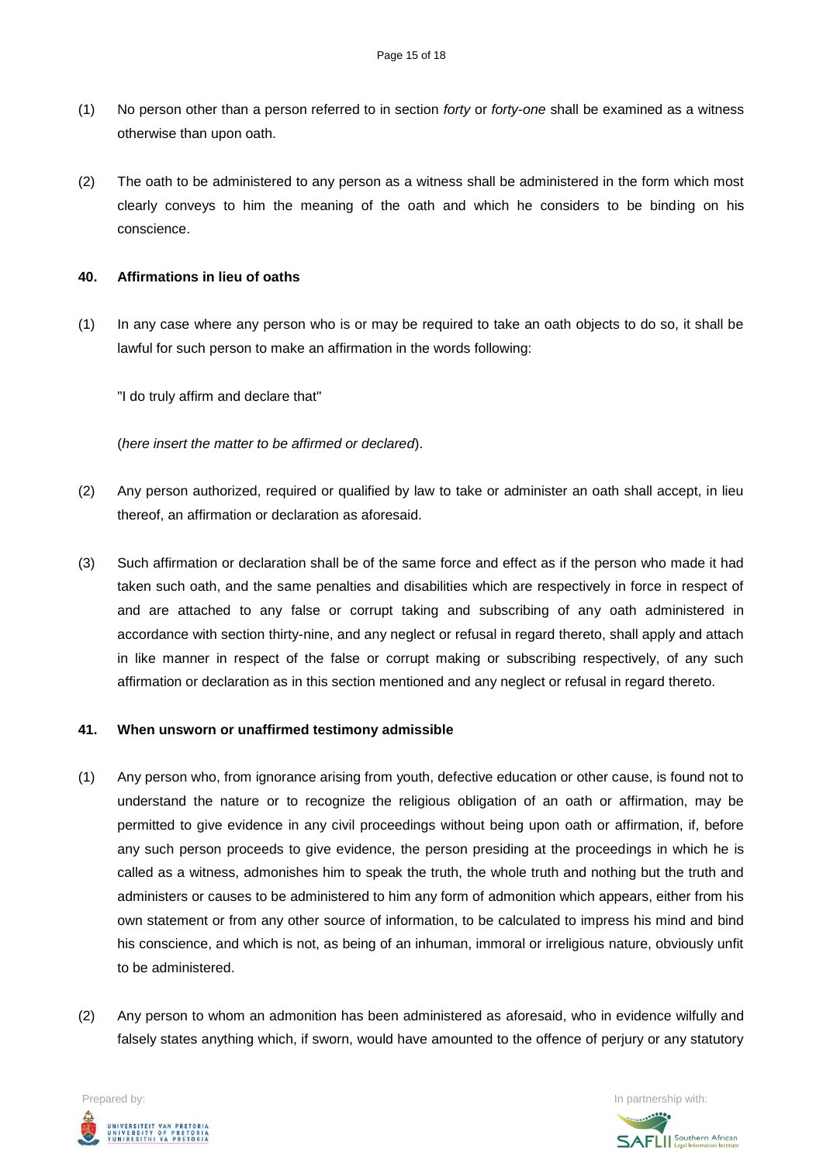- (1) No person other than a person referred to in section *forty* or *forty*-*one* shall be examined as a witness otherwise than upon oath.
- (2) The oath to be administered to any person as a witness shall be administered in the form which most clearly conveys to him the meaning of the oath and which he considers to be binding on his conscience.

### **40. Affirmations in lieu of oaths**

(1) In any case where any person who is or may be required to take an oath objects to do so, it shall be lawful for such person to make an affirmation in the words following:

"I do truly affirm and declare that"

(*here insert the matter to be affirmed or declared*).

- (2) Any person authorized, required or qualified by law to take or administer an oath shall accept, in lieu thereof, an affirmation or declaration as aforesaid.
- (3) Such affirmation or declaration shall be of the same force and effect as if the person who made it had taken such oath, and the same penalties and disabilities which are respectively in force in respect of and are attached to any false or corrupt taking and subscribing of any oath administered in accordance with section thirty-nine, and any neglect or refusal in regard thereto, shall apply and attach in like manner in respect of the false or corrupt making or subscribing respectively, of any such affirmation or declaration as in this section mentioned and any neglect or refusal in regard thereto.

### **41. When unsworn or unaffirmed testimony admissible**

- (1) Any person who, from ignorance arising from youth, defective education or other cause, is found not to understand the nature or to recognize the religious obligation of an oath or affirmation, may be permitted to give evidence in any civil proceedings without being upon oath or affirmation, if, before any such person proceeds to give evidence, the person presiding at the proceedings in which he is called as a witness, admonishes him to speak the truth, the whole truth and nothing but the truth and administers or causes to be administered to him any form of admonition which appears, either from his own statement or from any other source of information, to be calculated to impress his mind and bind his conscience, and which is not, as being of an inhuman, immoral or irreligious nature, obviously unfit to be administered.
- (2) Any person to whom an admonition has been administered as aforesaid, who in evidence wilfully and falsely states anything which, if sworn, would have amounted to the offence of perjury or any statutory



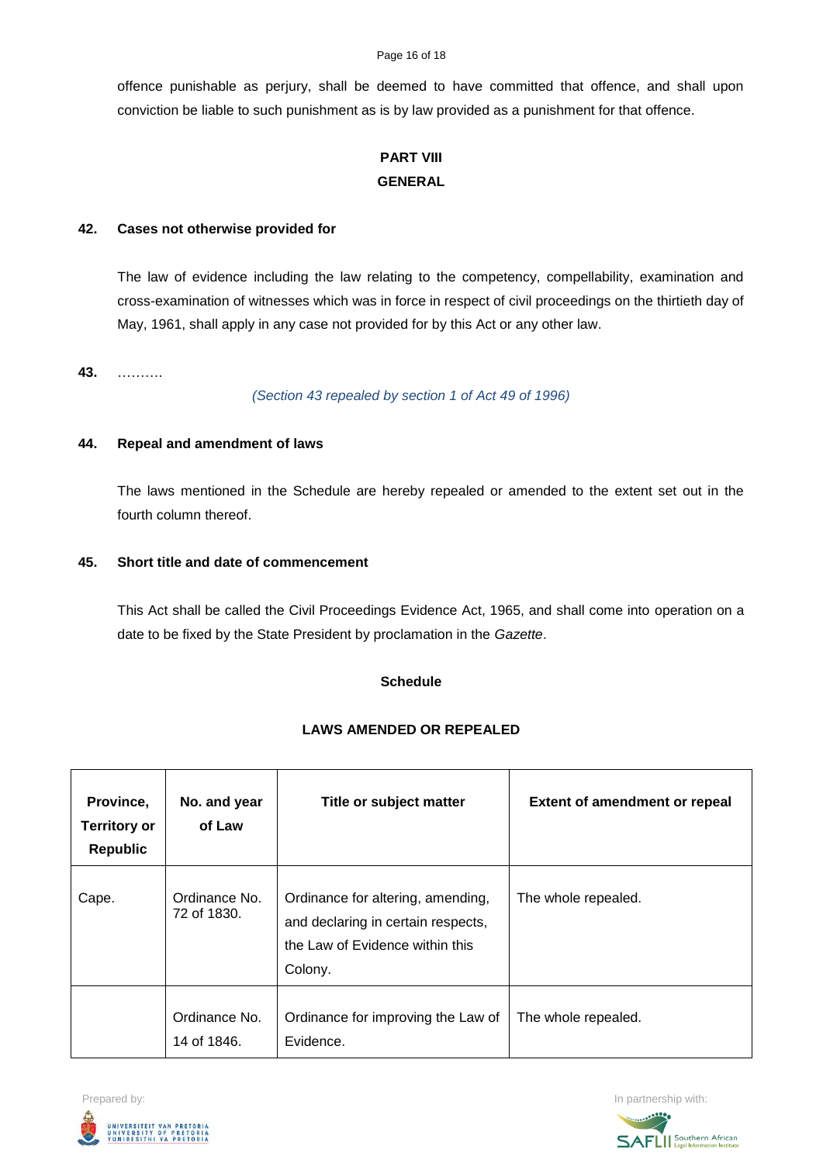offence punishable as perjury, shall be deemed to have committed that offence, and shall upon conviction be liable to such punishment as is by law provided as a punishment for that offence.

# **PART VIII GENERAL**

### **42. Cases not otherwise provided for**

The law of evidence including the law relating to the competency, compellability, examination and cross-examination of witnesses which was in force in respect of civil proceedings on the thirtieth day of May, 1961, shall apply in any case not provided for by this Act or any other law.

## **43.** ……….

*(Section 43 repealed by section 1 of Act 49 of 1996)*

## **44. Repeal and amendment of laws**

The laws mentioned in the Schedule are hereby repealed or amended to the extent set out in the fourth column thereof.

## **45. Short title and date of commencement**

This Act shall be called the Civil Proceedings Evidence Act, 1965, and shall come into operation on a date to be fixed by the State President by proclamation in the *Gazette*.

### **Schedule**

# **LAWS AMENDED OR REPEALED**

| Province,<br><b>Territory or</b><br><b>Republic</b> | No. and year<br>of Law       | Title or subject matter                                                                                               | <b>Extent of amendment or repeal</b> |
|-----------------------------------------------------|------------------------------|-----------------------------------------------------------------------------------------------------------------------|--------------------------------------|
| Cape.                                               | Ordinance No.<br>72 of 1830. | Ordinance for altering, amending,<br>and declaring in certain respects,<br>the Law of Evidence within this<br>Colony. | The whole repealed.                  |
|                                                     | Ordinance No.<br>14 of 1846. | Ordinance for improving the Law of<br>Evidence.                                                                       | The whole repealed.                  |



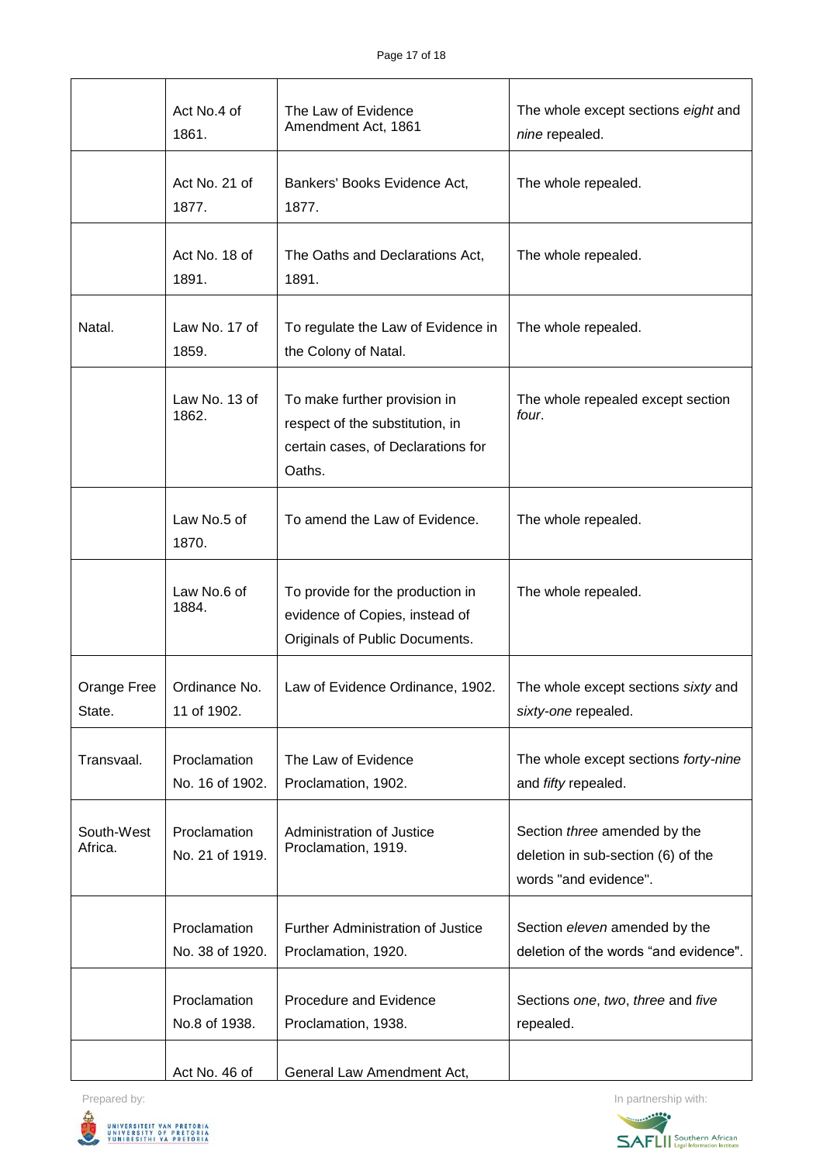|                       | Act No.4 of<br>1861.            | The Law of Evidence<br>Amendment Act, 1861                                                                      | The whole except sections eight and<br>nine repealed.                                       |  |  |
|-----------------------|---------------------------------|-----------------------------------------------------------------------------------------------------------------|---------------------------------------------------------------------------------------------|--|--|
|                       | Act No. 21 of<br>1877.          | Bankers' Books Evidence Act,<br>1877.                                                                           | The whole repealed.                                                                         |  |  |
|                       | Act No. 18 of<br>1891.          | The Oaths and Declarations Act,<br>1891.                                                                        | The whole repealed.                                                                         |  |  |
| Natal.                | Law No. 17 of<br>1859.          | To regulate the Law of Evidence in<br>the Colony of Natal.                                                      | The whole repealed.                                                                         |  |  |
|                       | Law No. 13 of<br>1862.          | To make further provision in<br>respect of the substitution, in<br>certain cases, of Declarations for<br>Oaths. | The whole repealed except section<br>four.                                                  |  |  |
|                       | Law No.5 of<br>1870.            | To amend the Law of Evidence.                                                                                   | The whole repealed.                                                                         |  |  |
|                       | Law No.6 of<br>1884.            | To provide for the production in<br>evidence of Copies, instead of<br>Originals of Public Documents.            | The whole repealed.                                                                         |  |  |
| Orange Free<br>State. | Ordinance No.<br>11 of 1902.    | Law of Evidence Ordinance, 1902.                                                                                | The whole except sections sixty and<br>sixty-one repealed.                                  |  |  |
| Transvaal.            | Proclamation<br>No. 16 of 1902. | The Law of Evidence<br>Proclamation, 1902.                                                                      | The whole except sections forty-nine<br>and fifty repealed.                                 |  |  |
| South-West<br>Africa. | Proclamation<br>No. 21 of 1919. | Administration of Justice<br>Proclamation, 1919.                                                                | Section three amended by the<br>deletion in sub-section (6) of the<br>words "and evidence". |  |  |
|                       | Proclamation<br>No. 38 of 1920. | <b>Further Administration of Justice</b><br>Proclamation, 1920.                                                 | Section eleven amended by the<br>deletion of the words "and evidence".                      |  |  |
|                       | Proclamation<br>No.8 of 1938.   | Procedure and Evidence<br>Proclamation, 1938.                                                                   | Sections one, two, three and five<br>repealed.                                              |  |  |
|                       | Act No. 46 of                   | General Law Amendment Act,                                                                                      |                                                                                             |  |  |

Prepared by: In partnership with: UNIVERSITEIT VAN PRETORIA<br>UNIVERSITY OF PRETORIA<br>YUNIBESITHI YA PRETORIA

Z,